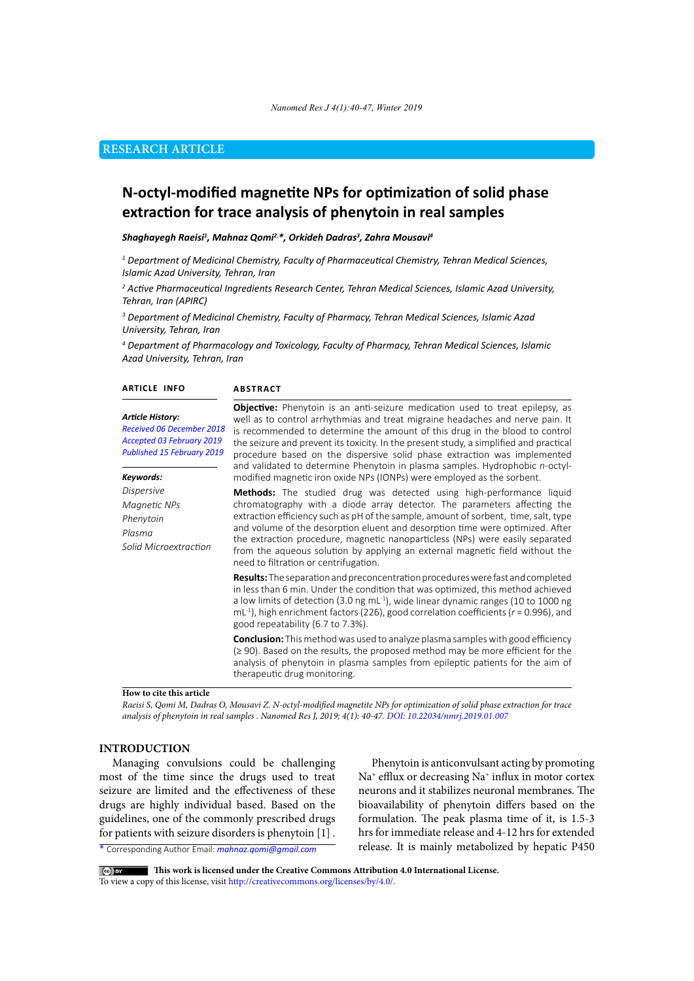# **RESEARCH ARTICLE**

# **N-octyl-modified magnetite NPs for optimization of solid phase extraction for trace analysis of phenytoin in real samples**

#### *Shaghayegh Raeisi1 , Mahnaz Qomi2*, *\*, Orkideh Dadras3 , Zahra Mousavi4*

*1 Department of Medicinal Chemistry, Faculty of Pharmaceutical Chemistry, Tehran Medical Sciences, Islamic Azad University, Tehran, Iran*

*2 Active Pharmaceutical Ingredients Research Center, Tehran Medical Sciences, Islamic Azad University, Tehran, Iran (APIRC)*

*3 Department of Medicinal Chemistry, Faculty of Pharmacy, Tehran Medical Sciences, Islamic Azad University, Tehran, Iran*

*4 Department of Pharmacology and Toxicology, Faculty of Pharmacy, Tehran Medical Sciences, Islamic Azad University, Tehran, Iran*

| <b>ARTICLE INFO</b>                                                                                             | <b>ABSTRACT</b><br><b>Objective:</b> Phenytoin is an anti-seizure medication used to treat epilepsy, as<br>well as to control arrhythmias and treat migraine headaches and nerve pain. It<br>is recommended to determine the amount of this drug in the blood to control<br>the seizure and prevent its toxicity. In the present study, a simplified and practical<br>procedure based on the dispersive solid phase extraction was implemented<br>and validated to determine Phenytoin in plasma samples. Hydrophobic n-octyl-            |  |  |
|-----------------------------------------------------------------------------------------------------------------|-------------------------------------------------------------------------------------------------------------------------------------------------------------------------------------------------------------------------------------------------------------------------------------------------------------------------------------------------------------------------------------------------------------------------------------------------------------------------------------------------------------------------------------------|--|--|
| <b>Article History:</b><br>Received 06 December 2018<br>Accepted 03 February 2019<br>Published 15 February 2019 |                                                                                                                                                                                                                                                                                                                                                                                                                                                                                                                                           |  |  |
| Keywords:<br><b>Dispersive</b>                                                                                  | modified magnetic iron oxide NPs (IONPs) were employed as the sorbent.                                                                                                                                                                                                                                                                                                                                                                                                                                                                    |  |  |
| Magnetic NPs<br>Phenytoin<br>Plasma<br>Solid Microextraction                                                    | <b>Methods:</b> The studied drug was detected using high-performance liquid<br>chromatography with a diode array detector. The parameters affecting the<br>extraction efficiency such as pH of the sample, amount of sorbent, time, salt, type<br>and volume of the desorption eluent and desorption time were optimized. After<br>the extraction procedure, magnetic nanoparticless (NPs) were easily separated<br>from the aqueous solution by applying an external magnetic field without the<br>need to filtration or centrifugation. |  |  |
|                                                                                                                 | <b>Results:</b> The separation and preconcentration procedures were fast and completed<br>in less than 6 min. Under the condition that was optimized, this method achieved<br>a low limits of detection (3.0 ng mL <sup>-1</sup> ), wide linear dynamic ranges (10 to 1000 ng<br>mL <sup>-1</sup> ), high enrichment factors (226), good correlation coefficients ( $r = 0.996$ ), and<br>good repeatability (6.7 to 7.3%).                                                                                                               |  |  |
|                                                                                                                 | <b>Conclusion:</b> This method was used to analyze plasma samples with good efficiency<br>$(\geq 90)$ . Based on the results, the proposed method may be more efficient for the<br>analysis of phenytoin in plasma samples from epileptic patients for the aim of<br>therapeutic drug monitoring.                                                                                                                                                                                                                                         |  |  |

## **How to cite this article**

*Raeisi S, Qomi M, Dadras O, Mousavi Z. N-octyl-modified magnetite NPs for optimization of solid phase extraction for trace analysis of phenytoin in real samples . Nanomed Res J, 2019; 4(1): 40-47. DOI: 10.22034/nmrj.2019.01.007*

## **INTRODUCTION**

Managing convulsions could be challenging most of the time since the drugs used to treat seizure are limited and the effectiveness of these drugs are highly individual based. Based on the guidelines, one of the commonly prescribed drugs for patients with seizure disorders is phenytoin [1] .

Phenytoin is anticonvulsant acting by promoting Na<sup>+</sup> efflux or decreasing Na<sup>+</sup> influx in motor cortex neurons and it stabilizes neuronal membranes. The bioavailability of phenytoin differs based on the formulation. The peak plasma time of it, is 1.5-3 hrs for immediate release and 4-12 hrs for extended release. It is mainly metabolized by hepatic P450

\* Corresponding Author Email: *mahnaz.qomi@gmail.com*

 **This work is licensed under the Creative Commons Attribution 4.0 International License.**

To view a copy of this license, visit<http://creativecommons.org/licenses/by/4.0/.>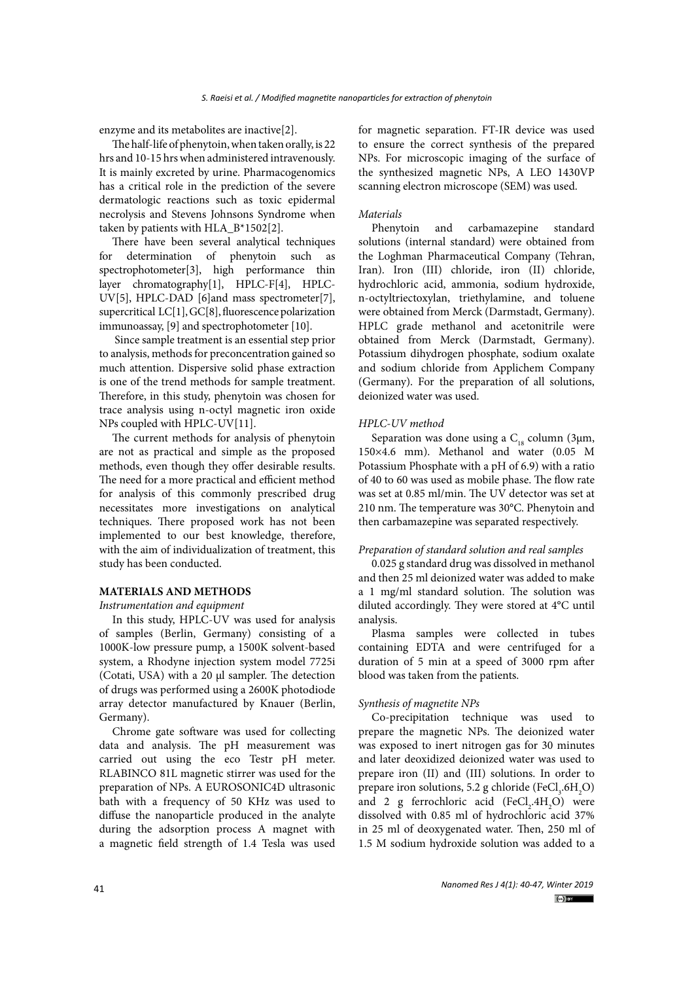enzyme and its metabolites are inactive[2].

The half-life of phenytoin, when taken orally, is 22 hrs and 10-15 hrs when administered intravenously. It is mainly excreted by urine. Pharmacogenomics has a critical role in the prediction of the severe dermatologic reactions such as toxic epidermal necrolysis and Stevens Johnsons Syndrome when taken by patients with HLA\_B\*1502[2].

There have been several analytical techniques for determination of phenytoin such as spectrophotometer[3], high performance thin layer chromatography[1], HPLC-F[4], HPLC-UV[5], HPLC-DAD [6]and mass spectrometer[7], supercritical LC[1], GC[8], fluorescence polarization immunoassay, [9] and spectrophotometer [10].

 Since sample treatment is an essential step prior to analysis, methods for preconcentration gained so much attention. Dispersive solid phase extraction is one of the trend methods for sample treatment. Therefore, in this study, phenytoin was chosen for trace analysis using n-octyl magnetic iron oxide NPs coupled with HPLC-UV[11].

The current methods for analysis of phenytoin are not as practical and simple as the proposed methods, even though they offer desirable results. The need for a more practical and efficient method for analysis of this commonly prescribed drug necessitates more investigations on analytical techniques. There proposed work has not been implemented to our best knowledge, therefore, with the aim of individualization of treatment, this study has been conducted.

# **MATERIALS AND METHODS**

*Instrumentation and equipment* 

In this study, HPLC-UV was used for analysis of samples (Berlin, Germany) consisting of a 1000K-low pressure pump, a 1500K solvent-based system, a Rhodyne injection system model 7725i (Cotati, USA) with a 20 μl sampler. The detection of drugs was performed using a 2600K photodiode array detector manufactured by Knauer (Berlin, Germany).

Chrome gate software was used for collecting data and analysis. The pH measurement was carried out using the eco Testr pH meter. RLABINCO 81L magnetic stirrer was used for the preparation of NPs. A EUROSONIC4D ultrasonic bath with a frequency of 50 KHz was used to diffuse the nanoparticle produced in the analyte during the adsorption process A magnet with a magnetic field strength of 1.4 Tesla was used for magnetic separation. FT-IR device was used to ensure the correct synthesis of the prepared NPs. For microscopic imaging of the surface of the synthesized magnetic NPs, A LEO 1430VP scanning electron microscope (SEM) was used.

# *Materials*

Phenytoin and carbamazepine standard solutions (internal standard) were obtained from the Loghman Pharmaceutical Company (Tehran, Iran). Iron (III) chloride, iron (II) chloride, hydrochloric acid, ammonia, sodium hydroxide, n-octyltriectoxylan, triethylamine, and toluene were obtained from Merck (Darmstadt, Germany). HPLC grade methanol and acetonitrile were obtained from Merck (Darmstadt, Germany). Potassium dihydrogen phosphate, sodium oxalate and sodium chloride from Applichem Company (Germany). For the preparation of all solutions, deionized water was used.

#### *HPLC-UV method*

Separation was done using a  $C_{18}$  column (3µm, 150×4.6 mm). Methanol and water (0.05 M Potassium Phosphate with a pH of 6.9) with a ratio of 40 to 60 was used as mobile phase. The flow rate was set at 0.85 ml/min. The UV detector was set at 210 nm. The temperature was 30°C. Phenytoin and then carbamazepine was separated respectively.

## *Preparation of standard solution and real samples*

0.025 g standard drug was dissolved in methanol and then 25 ml deionized water was added to make a 1 mg/ml standard solution. The solution was diluted accordingly. They were stored at 4°C until analysis.

Plasma samples were collected in tubes containing EDTA and were centrifuged for a duration of 5 min at a speed of 3000 rpm after blood was taken from the patients.

### *Synthesis of magnetite NPs*

Co-precipitation technique was used to prepare the magnetic NPs. The deionized water was exposed to inert nitrogen gas for 30 minutes and later deoxidized deionized water was used to prepare iron (II) and (III) solutions. In order to prepare iron solutions, 5.2 g chloride (FeCl<sub>3</sub>.6H<sub>2</sub>O) and 2 g ferrochloric acid  $(FeCl<sub>2</sub>.4H<sub>2</sub>O)$  were dissolved with 0.85 ml of hydrochloric acid 37% in 25 ml of deoxygenated water. Then, 250 ml of 1.5 M sodium hydroxide solution was added to a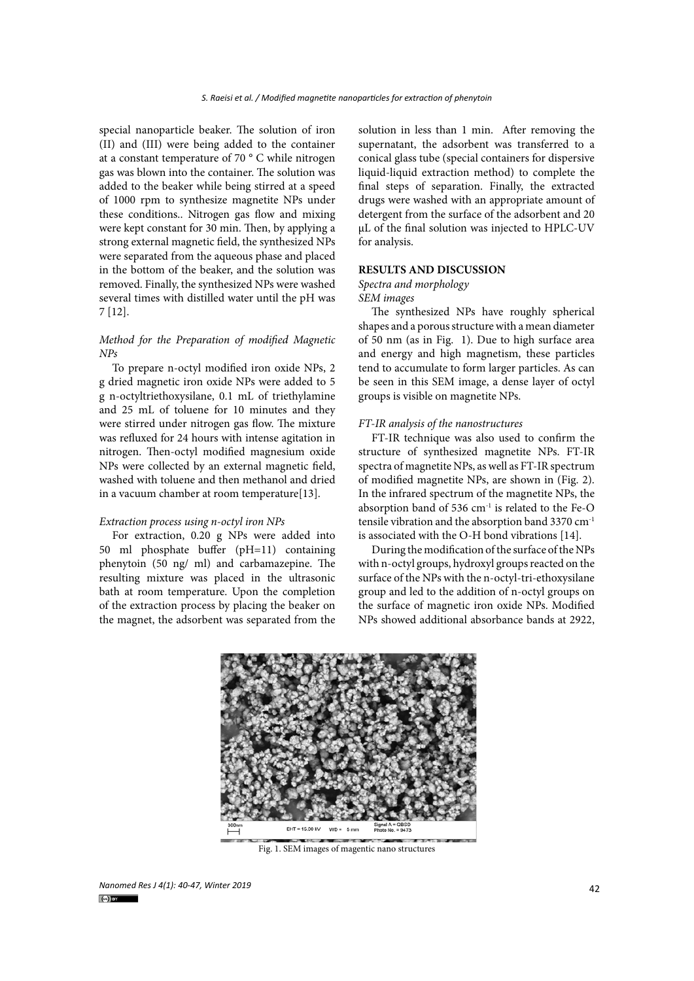special nanoparticle beaker. The solution of iron (II) and (III) were being added to the container at a constant temperature of 70 ° C while nitrogen gas was blown into the container. The solution was added to the beaker while being stirred at a speed of 1000 rpm to synthesize magnetite NPs under these conditions.. Nitrogen gas flow and mixing were kept constant for 30 min. Then, by applying a strong external magnetic field, the synthesized NPs were separated from the aqueous phase and placed in the bottom of the beaker, and the solution was removed. Finally, the synthesized NPs were washed several times with distilled water until the pH was 7 [12].

# *Method for the Preparation of modified Magnetic NPs*

To prepare n-octyl modified iron oxide NPs, 2 g dried magnetic iron oxide NPs were added to 5 g n-octyltriethoxysilane, 0.1 mL of triethylamine and 25 mL of toluene for 10 minutes and they were stirred under nitrogen gas flow. The mixture was refluxed for 24 hours with intense agitation in nitrogen. Then-octyl modified magnesium oxide NPs were collected by an external magnetic field, washed with toluene and then methanol and dried in a vacuum chamber at room temperature[13].

#### *Extraction process using n-octyl iron NPs*

For extraction, 0.20 g NPs were added into 50 ml phosphate buffer (pH=11) containing phenytoin (50 ng/ ml) and carbamazepine. The resulting mixture was placed in the ultrasonic bath at room temperature. Upon the completion of the extraction process by placing the beaker on the magnet, the adsorbent was separated from the

solution in less than 1 min. After removing the supernatant, the adsorbent was transferred to a conical glass tube (special containers for dispersive liquid-liquid extraction method) to complete the final steps of separation. Finally, the extracted drugs were washed with an appropriate amount of detergent from the surface of the adsorbent and 20 μL of the final solution was injected to HPLC-UV for analysis.

# **RESULTS AND DISCUSSION**

# *Spectra and morphology*

*SEM images*

The synthesized NPs have roughly spherical shapes and a porous structure with a mean diameter of 50 nm (as in Fig. 1). Due to high surface area and energy and high magnetism, these particles tend to accumulate to form larger particles. As can be seen in this SEM image, a dense layer of octyl groups is visible on magnetite NPs.

#### *FT-IR analysis of the nanostructures*

FT-IR technique was also used to confirm the structure of synthesized magnetite NPs. FT-IR spectra of magnetite NPs, as well as FT-IR spectrum of modified magnetite NPs, are shown in (Fig. 2). In the infrared spectrum of the magnetite NPs, the absorption band of 536 cm-1 is related to the Fe-O tensile vibration and the absorption band 3370 cm-1 is associated with the O-H bond vibrations [14].

During the modification of the surface of the NPs with n-octyl groups, hydroxyl groups reacted on the surface of the NPs with the n-octyl-tri-ethoxysilane group and led to the addition of n-octyl groups on the surface of magnetic iron oxide NPs. Modified NPs showed additional absorbance bands at 2922,



Fig. 1. SEM images of magentic nano structures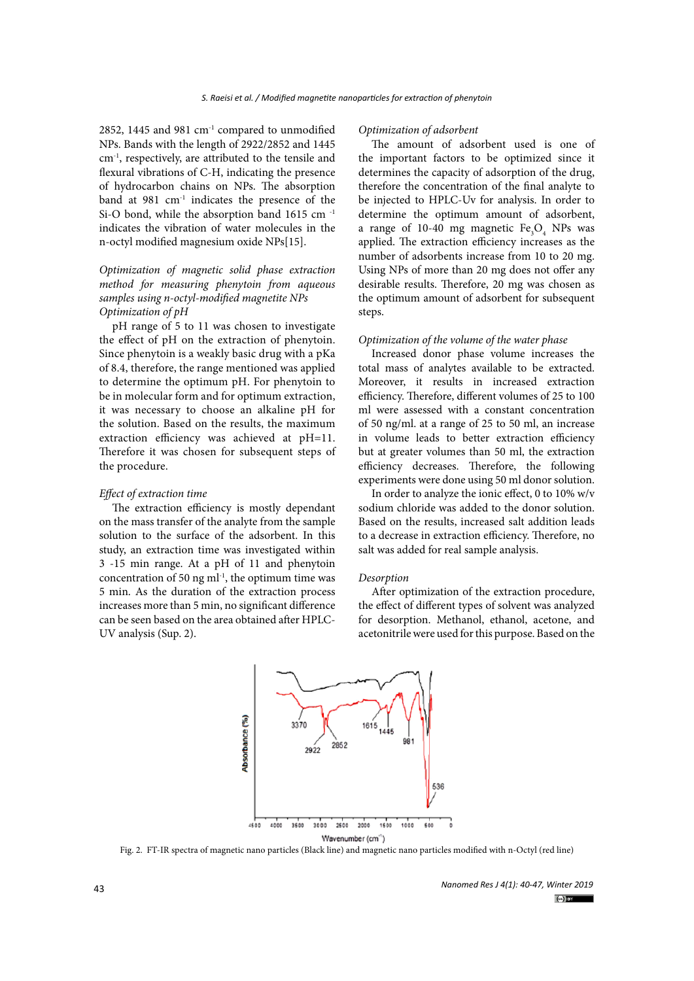2852, 1445 and 981  $cm<sup>-1</sup>$  compared to unmodified NPs. Bands with the length of 2922/2852 and 1445 cm-1, respectively, are attributed to the tensile and flexural vibrations of C-H, indicating the presence of hydrocarbon chains on NPs. The absorption band at  $981 \text{ cm}^{-1}$  indicates the presence of the Si-O bond, while the absorption band 1615 cm -1 indicates the vibration of water molecules in the n-octyl modified magnesium oxide NPs[15].

# *Optimization of magnetic solid phase extraction method for measuring phenytoin from aqueous samples using n-octyl-modified magnetite NPs Optimization of pH*

pH range of 5 to 11 was chosen to investigate the effect of pH on the extraction of phenytoin. Since phenytoin is a weakly basic drug with a pKa of 8.4, therefore, the range mentioned was applied to determine the optimum pH. For phenytoin to be in molecular form and for optimum extraction, it was necessary to choose an alkaline pH for the solution. Based on the results, the maximum extraction efficiency was achieved at pH=11. Therefore it was chosen for subsequent steps of the procedure.

## *Effect of extraction time*

The extraction efficiency is mostly dependant on the mass transfer of the analyte from the sample solution to the surface of the adsorbent. In this study, an extraction time was investigated within 3 -15 min range. At a pH of 11 and phenytoin concentration of 50 ng  $ml^{-1}$ , the optimum time was 5 min. As the duration of the extraction process increases more than 5 min, no significant difference can be seen based on the area obtained after HPLC-UV analysis (Sup. 2).

#### *Optimization of adsorbent*

The amount of adsorbent used is one of the important factors to be optimized since it determines the capacity of adsorption of the drug, therefore the concentration of the final analyte to be injected to HPLC-Uv for analysis. In order to determine the optimum amount of adsorbent, a range of 10-40 mg magnetic  $Fe<sub>3</sub>O<sub>4</sub>$  NPs was applied. The extraction efficiency increases as the number of adsorbents increase from 10 to 20 mg. Using NPs of more than 20 mg does not offer any desirable results. Therefore, 20 mg was chosen as the optimum amount of adsorbent for subsequent steps.

### *Optimization of the volume of the water phase*

Increased donor phase volume increases the total mass of analytes available to be extracted. Moreover, it results in increased extraction efficiency. Therefore, different volumes of 25 to 100 ml were assessed with a constant concentration of 50 ng/ml. at a range of 25 to 50 ml, an increase in volume leads to better extraction efficiency but at greater volumes than 50 ml, the extraction efficiency decreases. Therefore, the following experiments were done using 50 ml donor solution.

In order to analyze the ionic effect, 0 to 10% w/v sodium chloride was added to the donor solution. Based on the results, increased salt addition leads to a decrease in extraction efficiency. Therefore, no salt was added for real sample analysis.

#### *Desorption*

After optimization of the extraction procedure, the effect of different types of solvent was analyzed for desorption. Methanol, ethanol, acetone, and acetonitrile were used for this purpose. Based on the



**Figure 2. FT-IR spectra of magnetic nano particles (Black line) and magnetic nano particles**  Fig. 2. FT-IR spectra of magnetic nano particles (Black line) and magnetic nano particles modified with n-Octyl (red line)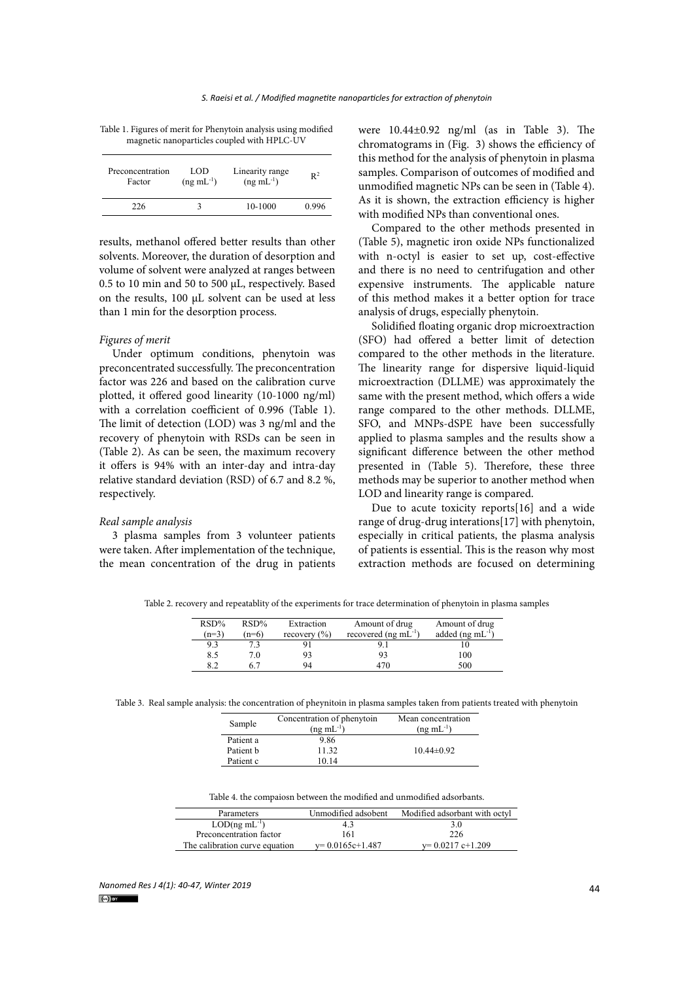| Table 1. Figures of merit for Phenytoin analysis using modified |
|-----------------------------------------------------------------|
| magnetic nanoparticles coupled with HPLC-UV                     |

| Preconcentration<br>Factor | LOD<br>$(ng \text{ mL}^{-1})$ | Linearity range<br>$(ng \text{ mL}^{-1})$ | $\mathbb{R}^2$ |
|----------------------------|-------------------------------|-------------------------------------------|----------------|
| 226                        |                               | 10-1000                                   | 0.996          |
|                            |                               |                                           |                |

results, methanol offered better results than other solvents. Moreover, the duration of desorption and volume of solvent were analyzed at ranges between 0.5 to 10 min and 50 to 500 µL, respectively. Based on the results, 100 µL solvent can be used at less than 1 min for the desorption process.

## *Figures of merit*

Under optimum conditions, phenytoin was preconcentrated successfully. The preconcentration factor was 226 and based on the calibration curve plotted, it offered good linearity (10-1000 ng/ml) with a correlation coefficient of 0.996 (Table 1). The limit of detection (LOD) was 3 ng/ml and the recovery of phenytoin with RSDs can be seen in (Table 2). As can be seen, the maximum recovery it offers is 94% with an inter-day and intra-day relative standard deviation (RSD) of 6.7 and 8.2 %, respectively.

#### *Real sample analysis*

3 plasma samples from 3 volunteer patients were taken. After implementation of the technique, the mean concentration of the drug in patients

were 10.44±0.92 ng/ml (as in Table 3). The magnetic nanoparticles coupled with HPLC-UV chromatograms in (Fig. 3) shows the efficiency of this method for the analysis of phenytoin in plasma samples. Comparison of outcomes of modified and unmodified magnetic NPs can be seen in (Table 4). As it is shown, the extraction efficiency is higher with modified NPs than conventional ones.

> Compared to the other methods presented in (Table 5), magnetic iron oxide NPs functionalized with n-octyl is easier to set up, cost-effective and there is no need to centrifugation and other expensive instruments. The applicable nature of this method makes it a better option for trace analysis of drugs, especially phenytoin.

> Solidified floating organic drop microextraction (SFO) had offered a better limit of detection compared to the other methods in the literature. The linearity range for dispersive liquid-liquid microextraction (DLLME) was approximately the same with the present method, which offers a wide range compared to the other methods. DLLME, SFO, and MNPs-dSPE have been successfully applied to plasma samples and the results show a significant difference between the other method presented in (Table 5). Therefore, these three methods may be superior to another method when LOD and linearity range is compared.

> Due to acute toxicity reports[16] and a wide range of drug-drug interations[17] with phenytoin, especially in critical patients, the plasma analysis of patients is essential. This is the reason why most extraction methods are focused on determining

Table 2. recovery and repeatablity of the experiments for trace determination of phenytoin in plasma samples Table 2. recovery and repeatablity of the experiments for trace determination of phenytoin in plasma samples

| $RSD\%$<br>$(n=3)$ | RSD%<br>$(n=6)$ | Extraction<br>recovery $(\% )$ | Amount of drug<br>recovered (ng $mL^{-1}$ ) | Amount of drug<br>added ( $ng \text{ mL}^{-1}$ ) |
|--------------------|-----------------|--------------------------------|---------------------------------------------|--------------------------------------------------|
| 9.3                |                 |                                |                                             |                                                  |
| 8.5                | 70              |                                |                                             | 100                                              |
| ິ                  |                 | 94                             |                                             | 500                                              |

Table 3. Real sample analysis: the concentration of pheynitoin in plasma samples taken from patients treated with phenytoin

| Sample    | Concentration of phenytoin<br>$(ng \text{ mL}^{-1})$ | Mean concentration<br>$(ng \text{ mL}^{-1})$ |  |  |
|-----------|------------------------------------------------------|----------------------------------------------|--|--|
| Patient a | 9.86                                                 |                                              |  |  |
| Patient h | 11.32                                                | $10.44\pm0.92$                               |  |  |
| Patient c | 10.14                                                |                                              |  |  |

Table 4. the compaiosn between the modified and unmodified adsorbants. Table 4. the compaiosn between the modified and unmodified adsorbants.

| Parameters                     | Unmodified adsobent | Modified adsorbant with octyl |  |
|--------------------------------|---------------------|-------------------------------|--|
| $LOD($ ng m $L^{-1}$ )         | 4.3                 | 3.0                           |  |
| Preconcentration factor        | 161                 | 226                           |  |
| The calibration curve equation | $y=0.0165c+1.487$   | $v=0.0217$ c+1.209            |  |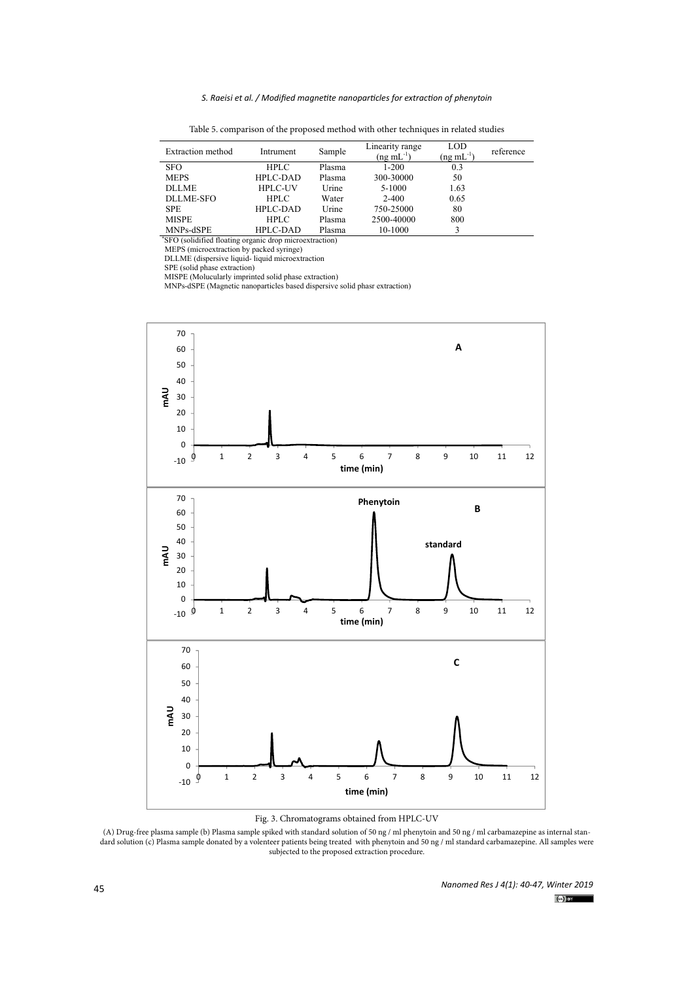#### *S. Raeisi et al. / Modified magnetite nanoparticles for extraction of phenytoin*

| Extraction method                                       | Intrument      | Sample | Linearity range<br>$(ng \, mL^{-1})$ | LOD<br>$(ng \text{ mL}^{-1})$ | reference |
|---------------------------------------------------------|----------------|--------|--------------------------------------|-------------------------------|-----------|
| <b>SFO</b>                                              | <b>HPLC</b>    | Plasma | $1 - 200$                            | 0.3                           |           |
| <b>MEPS</b>                                             | HPLC-DAD       | Plasma | 300-30000                            | 50                            |           |
| <b>DLLME</b>                                            | <b>HPLC-UV</b> | Urine  | 5-1000                               | 1.63                          |           |
| DLLME-SFO                                               | <b>HPLC</b>    | Water  | $2 - 400$                            | 0.65                          |           |
| SPE.                                                    | HPLC-DAD       | Urine  | 750-25000                            | 80                            |           |
| <b>MISPE</b>                                            | HPLC           | Plasma | 2500-40000                           | 800                           |           |
| MNPs-dSPE                                               | HPLC-DAD       | Plasma | 10-1000                              |                               |           |
| 'SFO (solidified floating organic drop microextraction) |                |        |                                      |                               |           |
| MEPS (microextraction by packed syringe)                |                |        |                                      |                               |           |
| DLLME (dispersive liquid-liquid microextraction         |                |        |                                      |                               |           |

Table 5. comparison of the proposed method with other techniques in related studies Table 5. comparison of the proposed method with other techniques in related studies

SPE (solid phase extraction)

MISPE (Molucularly imprinted solid phase extraction) MNPs-dSPE (Magnetic nanoparticles based dispersive solid phasr extraction)



Fig. 3. Chromatograms obtained from HPLC-UV

(A) Drug-free plasma sample (b) Plasma sample spiked with standard solution of 50 ng / ml phenytoin and 50 ng / ml carbamazepine as internal stansubjected to the proposed extraction procedure. dard solution (c) Plasma sample donated by a volenteer patients being treated with phenytoin and 50 ng / ml standard carbamazepine. All samples were

*Nanomed Res J 4(1): 40-47, Winter 2019*  $(c)$  by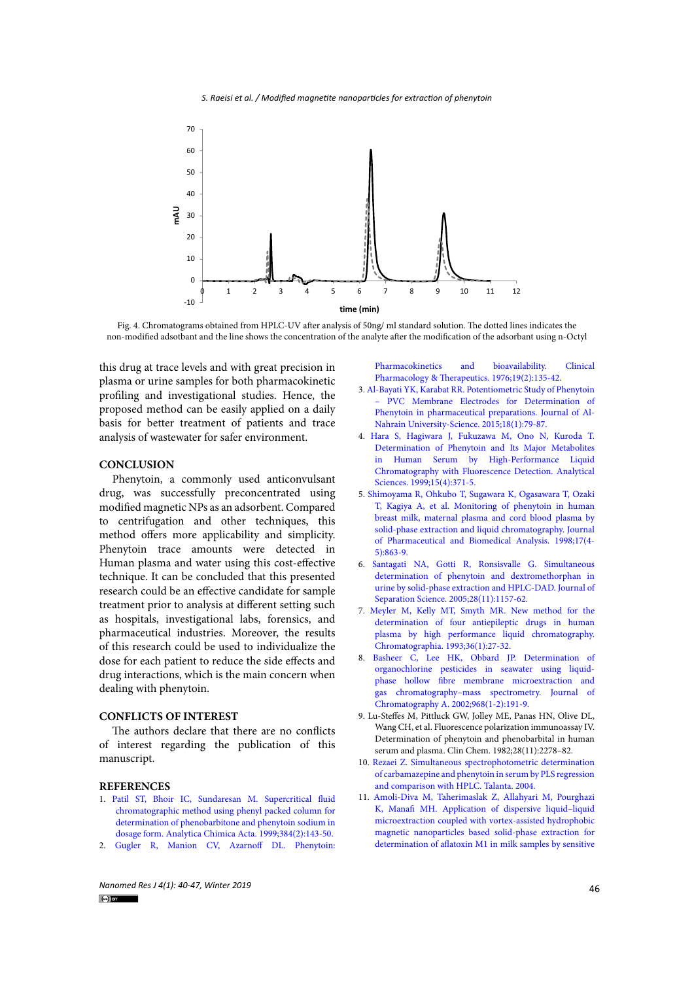

 non-modified adsotbant and the line shows the concentration of the analyte after the modification of the adsorbant using n-Octyl Fig. 4. Chromatograms obtained from HPLC-UV after analysis of 50ng/ ml standard solution. The dotted lines indicates the

this drug at trace levels and with great precision in Fharmacokinetics and bioavailabil dotted in the non-model and the non-model and the concentration of the concentration of the concentration of the concentration of the analyte of the analyte of the analyte of the analyte of the analyte of the analyte of th plasma or urine samples for both pharmacokinetic profiling and investigational studies. Hence, the proposed method can be easily applied on a daily basis for better treatment of patients and trace analysis of wastewater for safer environment.

# **CONCLUSION**

Phenytoin, a commonly used anticonvulsant drug, was successfully preconcentrated using modified magnetic NPs as an adsorbent. Compared to centrifugation and other techniques, this method offers more applicability and simplicity. Phenytoin trace amounts were detected in Human plasma and water using this cost-effective technique. It can be concluded that this presented research could be an effective candidate for sample treatment prior to analysis at different setting such as hospitals, investigational labs, forensics, and pharmaceutical industries. Moreover, the results of this research could be used to individualize the dose for each patient to reduce the side effects and drug interactions, which is the main concern when dealing with phenytoin.

#### **CONFLICTS OF INTEREST**

The authors declare that there are no conflicts of interest regarding the publication of this manuscript.

### **REFERENCES**

- 1. [Patil ST, Bhoir IC, Sundaresan M. Supercritical fluid](http://dx.doi.org/10.1016/s0003-2670(98)00820-4)  [chromatographic method using phenyl packed column for](http://dx.doi.org/10.1016/s0003-2670(98)00820-4)  [determination of phenobarbitone and phenytoin sodium in](http://dx.doi.org/10.1016/s0003-2670(98)00820-4)  [dosage form. Analytica Chimica Acta. 1999;384\(2\):143-50.](http://dx.doi.org/10.1016/s0003-2670(98)00820-4)
- 2. [Gugler R, Manion CV, Azarnoff DL. Phenytoin:](http://dx.doi.org/10.1002/cpt1976192135)

[Pharmacokinetics and bioavailability. Clinical](http://dx.doi.org/10.1002/cpt1976192135)

- 3. [Al-Bayati YK, Karabat RR. Potentiometric Study of Phenytoin](http://dx.doi.org/10.22401/jnus.18.1.11) [– PVC Membrane Electrodes for Determination of](http://dx.doi.org/10.22401/jnus.18.1.11) [Phenytoin in pharmaceutical preparations. Journal of Al-](http://dx.doi.org/10.22401/jnus.18.1.11)[Nahrain University-Science. 2015;18\(1\):79-87.](http://dx.doi.org/10.22401/jnus.18.1.11)
- 4. [Hara S, Hagiwara J, Fukuzawa M, Ono N, Kuroda T.](http://dx.doi.org/10.2116/analsci.15.371) [Determination of Phenytoin and Its Major Metabolites](http://dx.doi.org/10.2116/analsci.15.371) [in Human Serum by High-Performance Liquid](http://dx.doi.org/10.2116/analsci.15.371) [Chromatography with Fluorescence Detection. Analytical](http://dx.doi.org/10.2116/analsci.15.371) [Sciences. 1999;15\(4\):371-5.](http://dx.doi.org/10.2116/analsci.15.371)
- 5. [Shimoyama R, Ohkubo T, Sugawara K, Ogasawara T, Ozaki](http://dx.doi.org/10.1016/s0731-7085(97)00277-x) [T, Kagiya A, et al. Monitoring of phenytoin in human](http://dx.doi.org/10.1016/s0731-7085(97)00277-x) [breast milk, maternal plasma and cord blood plasma by](http://dx.doi.org/10.1016/s0731-7085(97)00277-x) [solid-phase extraction and liquid chromatography. Journal](http://dx.doi.org/10.1016/s0731-7085(97)00277-x) [of Pharmaceutical and Biomedical Analysis. 1998;17\(4-](http://dx.doi.org/10.1016/s0731-7085(97)00277-x) [5\):863-9.](http://dx.doi.org/10.1016/s0731-7085(97)00277-x)
- 6. [Santagati NA, Gotti R, Ronsisvalle G. Simultaneous](http://dx.doi.org/10.1002/jssc.200401942) [determination of phenytoin and dextromethorphan in](http://dx.doi.org/10.1002/jssc.200401942) [urine by solid-phase extraction and HPLC-DAD. Journal of](http://dx.doi.org/10.1002/jssc.200401942) [Separation Science. 2005;28\(11\):1157-62.](http://dx.doi.org/10.1002/jssc.200401942)
- 7. [Meyler M, Kelly MT, Smyth MR. New method for the](http://dx.doi.org/10.1007/bf02263831) [determination of four antiepileptic drugs in human](http://dx.doi.org/10.1007/bf02263831) [plasma by high performance liquid chromatography.](http://dx.doi.org/10.1007/bf02263831) [Chromatographia. 1993;36\(1\):27-32.](http://dx.doi.org/10.1007/bf02263831)
- 8. [Basheer C, Lee HK, Obbard JP. Determination of](http://dx.doi.org/10.1016/s0021-9673(02)00793-8) [organochlorine pesticides in seawater using liquid](http://dx.doi.org/10.1016/s0021-9673(02)00793-8)[phase hollow fibre membrane microextraction and](http://dx.doi.org/10.1016/s0021-9673(02)00793-8) [gas chromatography–mass spectrometry. Journal of](http://dx.doi.org/10.1016/s0021-9673(02)00793-8) [Chromatography A. 2002;968\(1-2\):191-9.](http://dx.doi.org/10.1016/s0021-9673(02)00793-8)
- 9. Lu-Steffes M, Pittluck GW, Jolley ME, Panas HN, Olive DL, Wang CH, et al. Fluorescence polarization immunoassay IV. Determination of phenytoin and phenobarbital in human serum and plasma. Clin Chem. 1982;28(11):2278–82.
- 10. [Rezaei Z. Simultaneous spectrophotometric determination](http://dx.doi.org/10.1016/j.talanta.2004.05.008) [of carbamazepine and phenytoin in serum by PLS regression](http://dx.doi.org/10.1016/j.talanta.2004.05.008) [and comparison with HPLC. Talanta. 2004.](http://dx.doi.org/10.1016/j.talanta.2004.05.008)
- 11. [Amoli-Diva M, Taherimaslak Z, Allahyari M, Pourghazi](http://dx.doi.org/10.1016/j.talanta.2014.11.007) [K, Manafi MH. Application of dispersive liquid–liquid](http://dx.doi.org/10.1016/j.talanta.2014.11.007) [microextraction coupled with vortex-assisted hydrophobic](http://dx.doi.org/10.1016/j.talanta.2014.11.007) [magnetic nanoparticles based solid-phase extraction for](http://dx.doi.org/10.1016/j.talanta.2014.11.007) [determination of aflatoxin M1 in milk samples by sensitive](http://dx.doi.org/10.1016/j.talanta.2014.11.007)